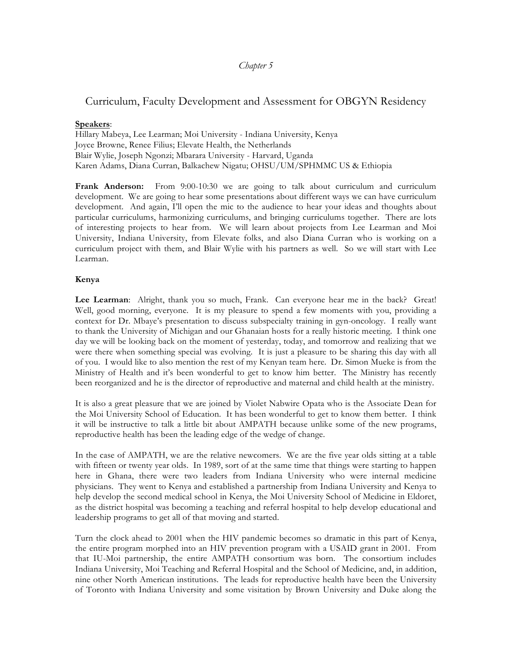# *Chapter 5*

# Curriculum, Faculty Development and Assessment for OBGYN Residency

# **Speakers**:

Hillary Mabeya, Lee Learman; Moi University - Indiana University, Kenya Joyce Browne, Renee Filius; Elevate Health, the Netherlands Blair Wylie, Joseph Ngonzi; Mbarara University - Harvard, Uganda Karen Adams, Diana Curran, Balkachew Nigatu; OHSU/UM/SPHMMC US & Ethiopia

**Frank Anderson:** From 9:00-10:30 we are going to talk about curriculum and curriculum development. We are going to hear some presentations about different ways we can have curriculum development. And again, I'll open the mic to the audience to hear your ideas and thoughts about particular curriculums, harmonizing curriculums, and bringing curriculums together. There are lots of interesting projects to hear from. We will learn about projects from Lee Learman and Moi University, Indiana University, from Elevate folks, and also Diana Curran who is working on a curriculum project with them, and Blair Wylie with his partners as well. So we will start with Lee Learman.

### **Kenya**

**Lee Learman**: Alright, thank you so much, Frank. Can everyone hear me in the back? Great! Well, good morning, everyone. It is my pleasure to spend a few moments with you, providing a context for Dr. Mbaye's presentation to discuss subspecialty training in gyn-oncology. I really want to thank the University of Michigan and our Ghanaian hosts for a really historic meeting. I think one day we will be looking back on the moment of yesterday, today, and tomorrow and realizing that we were there when something special was evolving. It is just a pleasure to be sharing this day with all of you. I would like to also mention the rest of my Kenyan team here. Dr. Simon Mueke is from the Ministry of Health and it's been wonderful to get to know him better. The Ministry has recently been reorganized and he is the director of reproductive and maternal and child health at the ministry.

It is also a great pleasure that we are joined by Violet Nabwire Opata who is the Associate Dean for the Moi University School of Education. It has been wonderful to get to know them better. I think it will be instructive to talk a little bit about AMPATH because unlike some of the new programs, reproductive health has been the leading edge of the wedge of change.

In the case of AMPATH, we are the relative newcomers. We are the five year olds sitting at a table with fifteen or twenty year olds. In 1989, sort of at the same time that things were starting to happen here in Ghana, there were two leaders from Indiana University who were internal medicine physicians. They went to Kenya and established a partnership from Indiana University and Kenya to help develop the second medical school in Kenya, the Moi University School of Medicine in Eldoret, as the district hospital was becoming a teaching and referral hospital to help develop educational and leadership programs to get all of that moving and started.

Turn the clock ahead to 2001 when the HIV pandemic becomes so dramatic in this part of Kenya, the entire program morphed into an HIV prevention program with a USAID grant in 2001. From that IU-Moi partnership, the entire AMPATH consortium was born. The consortium includes Indiana University, Moi Teaching and Referral Hospital and the School of Medicine, and, in addition, nine other North American institutions. The leads for reproductive health have been the University of Toronto with Indiana University and some visitation by Brown University and Duke along the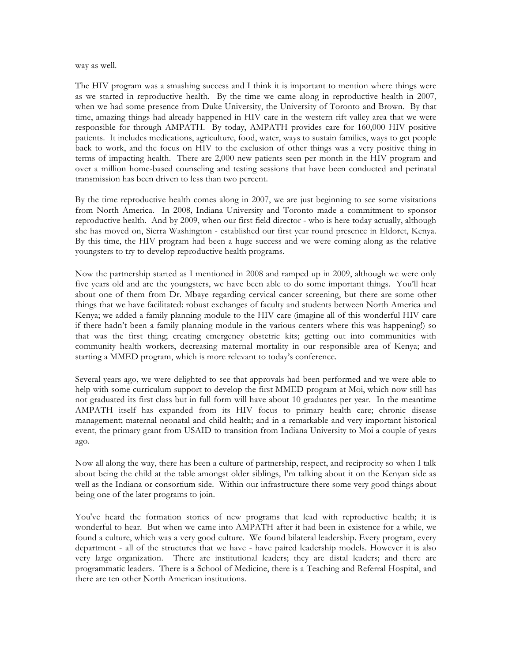#### way as well.

The HIV program was a smashing success and I think it is important to mention where things were as we started in reproductive health. By the time we came along in reproductive health in 2007, when we had some presence from Duke University, the University of Toronto and Brown. By that time, amazing things had already happened in HIV care in the western rift valley area that we were responsible for through AMPATH. By today, AMPATH provides care for 160,000 HIV positive patients. It includes medications, agriculture, food, water, ways to sustain families, ways to get people back to work, and the focus on HIV to the exclusion of other things was a very positive thing in terms of impacting health. There are 2,000 new patients seen per month in the HIV program and over a million home-based counseling and testing sessions that have been conducted and perinatal transmission has been driven to less than two percent.

By the time reproductive health comes along in 2007, we are just beginning to see some visitations from North America. In 2008, Indiana University and Toronto made a commitment to sponsor reproductive health. And by 2009, when our first field director - who is here today actually, although she has moved on, Sierra Washington - established our first year round presence in Eldoret, Kenya. By this time, the HIV program had been a huge success and we were coming along as the relative youngsters to try to develop reproductive health programs.

Now the partnership started as I mentioned in 2008 and ramped up in 2009, although we were only five years old and are the youngsters, we have been able to do some important things. You'll hear about one of them from Dr. Mbaye regarding cervical cancer screening, but there are some other things that we have facilitated: robust exchanges of faculty and students between North America and Kenya; we added a family planning module to the HIV care (imagine all of this wonderful HIV care if there hadn't been a family planning module in the various centers where this was happening!) so that was the first thing; creating emergency obstetric kits; getting out into communities with community health workers, decreasing maternal mortality in our responsible area of Kenya; and starting a MMED program, which is more relevant to today's conference.

Several years ago, we were delighted to see that approvals had been performed and we were able to help with some curriculum support to develop the first MMED program at Moi, which now still has not graduated its first class but in full form will have about 10 graduates per year. In the meantime AMPATH itself has expanded from its HIV focus to primary health care; chronic disease management; maternal neonatal and child health; and in a remarkable and very important historical event, the primary grant from USAID to transition from Indiana University to Moi a couple of years ago.

Now all along the way, there has been a culture of partnership, respect, and reciprocity so when I talk about being the child at the table amongst older siblings, I'm talking about it on the Kenyan side as well as the Indiana or consortium side. Within our infrastructure there some very good things about being one of the later programs to join.

You've heard the formation stories of new programs that lead with reproductive health; it is wonderful to hear. But when we came into AMPATH after it had been in existence for a while, we found a culture, which was a very good culture. We found bilateral leadership. Every program, every department - all of the structures that we have - have paired leadership models. However it is also very large organization. There are institutional leaders; they are distal leaders; and there are programmatic leaders. There is a School of Medicine, there is a Teaching and Referral Hospital, and there are ten other North American institutions.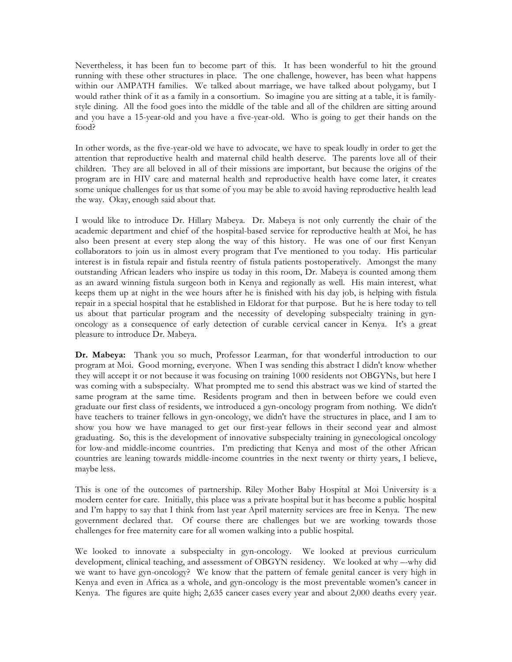Nevertheless, it has been fun to become part of this. It has been wonderful to hit the ground running with these other structures in place. The one challenge, however, has been what happens within our AMPATH families. We talked about marriage, we have talked about polygamy, but I would rather think of it as a family in a consortium. So imagine you are sitting at a table, it is familystyle dining. All the food goes into the middle of the table and all of the children are sitting around and you have a 15-year-old and you have a five-year-old. Who is going to get their hands on the food?

In other words, as the five-year-old we have to advocate, we have to speak loudly in order to get the attention that reproductive health and maternal child health deserve. The parents love all of their children. They are all beloved in all of their missions are important, but because the origins of the program are in HIV care and maternal health and reproductive health have come later, it creates some unique challenges for us that some of you may be able to avoid having reproductive health lead the way. Okay, enough said about that.

I would like to introduce Dr. Hillary Mabeya. Dr. Mabeya is not only currently the chair of the academic department and chief of the hospital-based service for reproductive health at Moi, he has also been present at every step along the way of this history. He was one of our first Kenyan collaborators to join us in almost every program that I've mentioned to you today. His particular interest is in fistula repair and fistula reentry of fistula patients postoperatively. Amongst the many outstanding African leaders who inspire us today in this room, Dr. Mabeya is counted among them as an award winning fistula surgeon both in Kenya and regionally as well. His main interest, what keeps them up at night in the wee hours after he is finished with his day job, is helping with fistula repair in a special hospital that he established in Eldorat for that purpose. But he is here today to tell us about that particular program and the necessity of developing subspecialty training in gynoncology as a consequence of early detection of curable cervical cancer in Kenya. It's a great pleasure to introduce Dr. Mabeya.

**Dr. Mabeya:** Thank you so much, Professor Learman, for that wonderful introduction to our program at Moi. Good morning, everyone. When I was sending this abstract I didn't know whether they will accept it or not because it was focusing on training 1000 residents not OBGYNs, but here I was coming with a subspecialty. What prompted me to send this abstract was we kind of started the same program at the same time. Residents program and then in between before we could even graduate our first class of residents, we introduced a gyn-oncology program from nothing. We didn't have teachers to trainer fellows in gyn-oncology, we didn't have the structures in place, and I am to show you how we have managed to get our first-year fellows in their second year and almost graduating. So, this is the development of innovative subspecialty training in gynecological oncology for low-and middle-income countries. I'm predicting that Kenya and most of the other African countries are leaning towards middle-income countries in the next twenty or thirty years, I believe, maybe less.

This is one of the outcomes of partnership. Riley Mother Baby Hospital at Moi University is a modern center for care. Initially, this place was a private hospital but it has become a public hospital and I'm happy to say that I think from last year April maternity services are free in Kenya. The new government declared that. Of course there are challenges but we are working towards those challenges for free maternity care for all women walking into a public hospital.

We looked to innovate a subspecialty in gyn-oncology. We looked at previous curriculum development, clinical teaching, and assessment of OBGYN residency. We looked at why –-why did we want to have gyn-oncology? We know that the pattern of female genital cancer is very high in Kenya and even in Africa as a whole, and gyn-oncology is the most preventable women's cancer in Kenya. The figures are quite high; 2,635 cancer cases every year and about 2,000 deaths every year.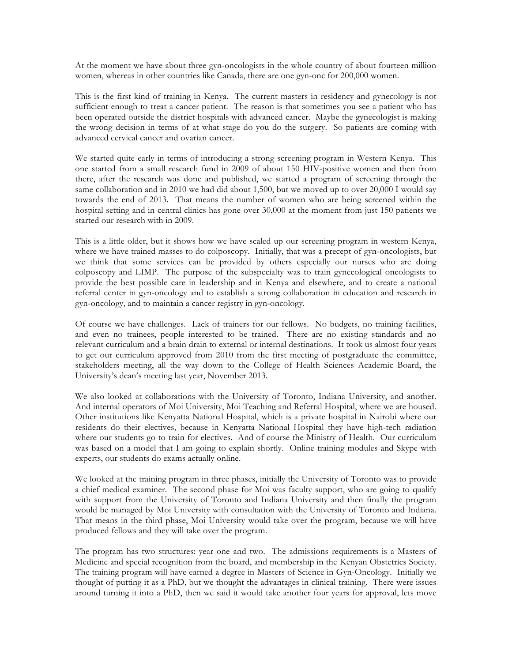At the moment we have about three gyn-oncologists in the whole country of about fourteen million women, whereas in other countries like Canada, there are one gyn-onc for 200,000 women.

This is the first kind of training in Kenya. The current masters in residency and gynecology is not sufficient enough to treat a cancer patient. The reason is that sometimes you see a patient who has been operated outside the district hospitals with advanced cancer. Maybe the gynecologist is making the wrong decision in terms of at what stage do you do the surgery. So patients are coming with advanced cervical cancer and ovarian cancer.

We started quite early in terms of introducing a strong screening program in Western Kenya. This one started from a small research fund in 2009 of about 150 HIV-positive women and then from there, after the research was done and published, we started a program of screening through the same collaboration and in 2010 we had did about 1,500, but we moved up to over 20,000 I would say towards the end of 2013. That means the number of women who are being screened within the hospital setting and in central clinics has gone over 30,000 at the moment from just 150 patients we started our research with in 2009.

This is a little older, but it shows how we have scaled up our screening program in western Kenya, where we have trained masses to do colposcopy. Initially, that was a precept of gyn-oncologists, but we think that some services can be provided by others especially our nurses who are doing colposcopy and LIMP. The purpose of the subspecialty was to train gynecological oncologists to provide the best possible care in leadership and in Kenya and elsewhere, and to create a national referral center in gyn-oncology and to establish a strong collaboration in education and research in gyn-oncology, and to maintain a cancer registry in gyn-oncology.

Of course we have challenges. Lack of trainers for our fellows. No budgets, no training facilities, and even no trainees, people interested to be trained. There are no existing standards and no relevant curriculum and a brain drain to external or internal destinations. It took us almost four years to get our curriculum approved from 2010 from the first meeting of postgraduate the committee, stakeholders meeting, all the way down to the College of Health Sciences Academic Board, the University's dean's meeting last year, November 2013.

We also looked at collaborations with the University of Toronto, Indiana University, and another. And internal operators of Moi University, Moi Teaching and Referral Hospital, where we are housed. Other institutions like Kenyatta National Hospital, which is a private hospital in Nairobi where our residents do their electives, because in Kenyatta National Hospital they have high-tech radiation where our students go to train for electives. And of course the Ministry of Health. Our curriculum was based on a model that I am going to explain shortly. Online training modules and Skype with experts, our students do exams actually online.

We looked at the training program in three phases, initially the University of Toronto was to provide a chief medical examiner. The second phase for Moi was faculty support, who are going to qualify with support from the University of Toronto and Indiana University and then finally the program would be managed by Moi University with consultation with the University of Toronto and Indiana. That means in the third phase, Moi University would take over the program, because we will have produced fellows and they will take over the program.

The program has two structures: year one and two. The admissions requirements is a Masters of Medicine and special recognition from the board, and membership in the Kenyan Obstetrics Society. The training program will have earned a degree in Masters of Science in Gyn-Oncology. Initially we thought of putting it as a PhD, but we thought the advantages in clinical training. There were issues around turning it into a PhD, then we said it would take another four years for approval, lets move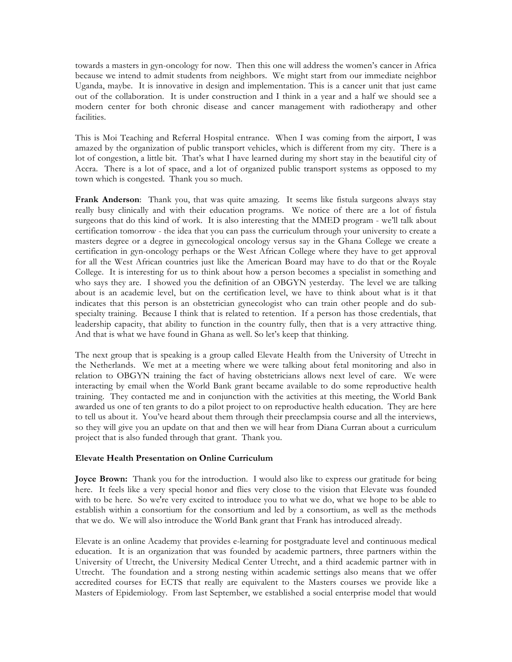towards a masters in gyn-oncology for now. Then this one will address the women's cancer in Africa because we intend to admit students from neighbors. We might start from our immediate neighbor Uganda, maybe. It is innovative in design and implementation. This is a cancer unit that just came out of the collaboration. It is under construction and I think in a year and a half we should see a modern center for both chronic disease and cancer management with radiotherapy and other facilities.

This is Moi Teaching and Referral Hospital entrance. When I was coming from the airport, I was amazed by the organization of public transport vehicles, which is different from my city. There is a lot of congestion, a little bit. That's what I have learned during my short stay in the beautiful city of Accra. There is a lot of space, and a lot of organized public transport systems as opposed to my town which is congested. Thank you so much.

**Frank Anderson**: Thank you, that was quite amazing. It seems like fistula surgeons always stay really busy clinically and with their education programs. We notice of there are a lot of fistula surgeons that do this kind of work. It is also interesting that the MMED program - we'll talk about certification tomorrow - the idea that you can pass the curriculum through your university to create a masters degree or a degree in gynecological oncology versus say in the Ghana College we create a certification in gyn-oncology perhaps or the West African College where they have to get approval for all the West African countries just like the American Board may have to do that or the Royale College. It is interesting for us to think about how a person becomes a specialist in something and who says they are. I showed you the definition of an OBGYN yesterday. The level we are talking about is an academic level, but on the certification level, we have to think about what is it that indicates that this person is an obstetrician gynecologist who can train other people and do subspecialty training. Because I think that is related to retention. If a person has those credentials, that leadership capacity, that ability to function in the country fully, then that is a very attractive thing. And that is what we have found in Ghana as well. So let's keep that thinking.

The next group that is speaking is a group called Elevate Health from the University of Utrecht in the Netherlands. We met at a meeting where we were talking about fetal monitoring and also in relation to OBGYN training the fact of having obstetricians allows next level of care. We were interacting by email when the World Bank grant became available to do some reproductive health training. They contacted me and in conjunction with the activities at this meeting, the World Bank awarded us one of ten grants to do a pilot project to on reproductive health education. They are here to tell us about it. You've heard about them through their preeclampsia course and all the interviews, so they will give you an update on that and then we will hear from Diana Curran about a curriculum project that is also funded through that grant. Thank you.

### **Elevate Health Presentation on Online Curriculum**

Joyce Brown: Thank you for the introduction. I would also like to express our gratitude for being here. It feels like a very special honor and flies very close to the vision that Elevate was founded with to be here. So we're very excited to introduce you to what we do, what we hope to be able to establish within a consortium for the consortium and led by a consortium, as well as the methods that we do. We will also introduce the World Bank grant that Frank has introduced already.

Elevate is an online Academy that provides e-learning for postgraduate level and continuous medical education. It is an organization that was founded by academic partners, three partners within the University of Utrecht, the University Medical Center Utrecht, and a third academic partner with in Utrecht. The foundation and a strong nesting within academic settings also means that we offer accredited courses for ECTS that really are equivalent to the Masters courses we provide like a Masters of Epidemiology. From last September, we established a social enterprise model that would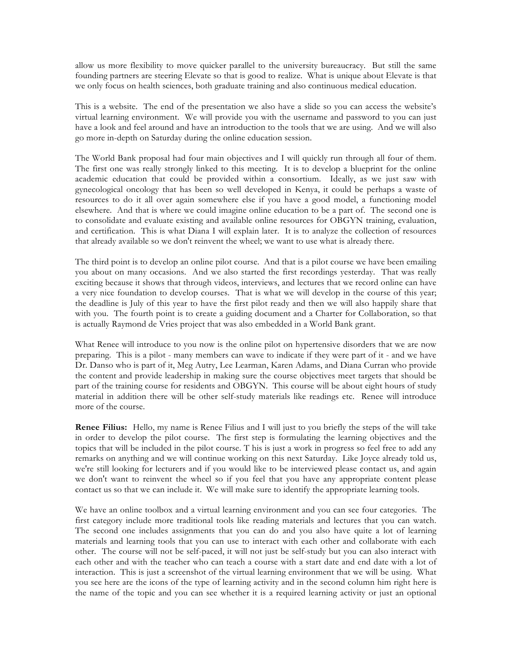allow us more flexibility to move quicker parallel to the university bureaucracy. But still the same founding partners are steering Elevate so that is good to realize. What is unique about Elevate is that we only focus on health sciences, both graduate training and also continuous medical education.

This is a website. The end of the presentation we also have a slide so you can access the website's virtual learning environment. We will provide you with the username and password to you can just have a look and feel around and have an introduction to the tools that we are using. And we will also go more in-depth on Saturday during the online education session.

The World Bank proposal had four main objectives and I will quickly run through all four of them. The first one was really strongly linked to this meeting. It is to develop a blueprint for the online academic education that could be provided within a consortium. Ideally, as we just saw with gynecological oncology that has been so well developed in Kenya, it could be perhaps a waste of resources to do it all over again somewhere else if you have a good model, a functioning model elsewhere. And that is where we could imagine online education to be a part of. The second one is to consolidate and evaluate existing and available online resources for OBGYN training, evaluation, and certification. This is what Diana I will explain later. It is to analyze the collection of resources that already available so we don't reinvent the wheel; we want to use what is already there.

The third point is to develop an online pilot course. And that is a pilot course we have been emailing you about on many occasions. And we also started the first recordings yesterday. That was really exciting because it shows that through videos, interviews, and lectures that we record online can have a very nice foundation to develop courses. That is what we will develop in the course of this year; the deadline is July of this year to have the first pilot ready and then we will also happily share that with you. The fourth point is to create a guiding document and a Charter for Collaboration, so that is actually Raymond de Vries project that was also embedded in a World Bank grant.

What Renee will introduce to you now is the online pilot on hypertensive disorders that we are now preparing. This is a pilot - many members can wave to indicate if they were part of it - and we have Dr. Danso who is part of it, Meg Autry, Lee Learman, Karen Adams, and Diana Curran who provide the content and provide leadership in making sure the course objectives meet targets that should be part of the training course for residents and OBGYN. This course will be about eight hours of study material in addition there will be other self-study materials like readings etc. Renee will introduce more of the course.

**Renee Filius:** Hello, my name is Renee Filius and I will just to you briefly the steps of the will take in order to develop the pilot course. The first step is formulating the learning objectives and the topics that will be included in the pilot course. T his is just a work in progress so feel free to add any remarks on anything and we will continue working on this next Saturday. Like Joyce already told us, we're still looking for lecturers and if you would like to be interviewed please contact us, and again we don't want to reinvent the wheel so if you feel that you have any appropriate content please contact us so that we can include it. We will make sure to identify the appropriate learning tools.

We have an online toolbox and a virtual learning environment and you can see four categories. The first category include more traditional tools like reading materials and lectures that you can watch. The second one includes assignments that you can do and you also have quite a lot of learning materials and learning tools that you can use to interact with each other and collaborate with each other. The course will not be self-paced, it will not just be self-study but you can also interact with each other and with the teacher who can teach a course with a start date and end date with a lot of interaction. This is just a screenshot of the virtual learning environment that we will be using. What you see here are the icons of the type of learning activity and in the second column him right here is the name of the topic and you can see whether it is a required learning activity or just an optional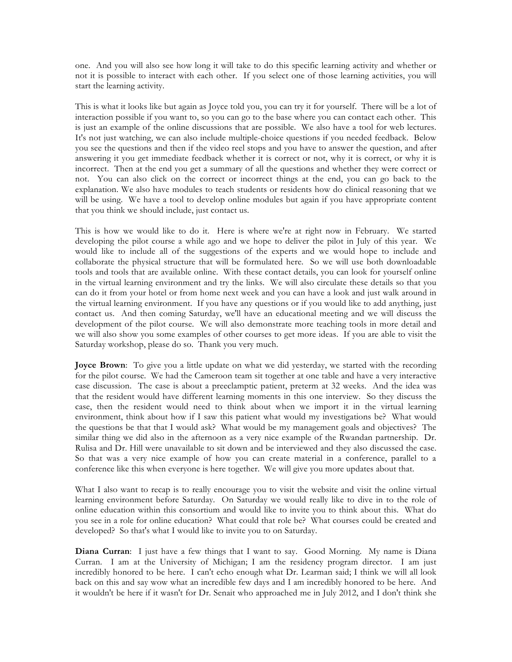one. And you will also see how long it will take to do this specific learning activity and whether or not it is possible to interact with each other. If you select one of those learning activities, you will start the learning activity.

This is what it looks like but again as Joyce told you, you can try it for yourself. There will be a lot of interaction possible if you want to, so you can go to the base where you can contact each other. This is just an example of the online discussions that are possible. We also have a tool for web lectures. It's not just watching, we can also include multiple-choice questions if you needed feedback. Below you see the questions and then if the video reel stops and you have to answer the question, and after answering it you get immediate feedback whether it is correct or not, why it is correct, or why it is incorrect. Then at the end you get a summary of all the questions and whether they were correct or not. You can also click on the correct or incorrect things at the end, you can go back to the explanation. We also have modules to teach students or residents how do clinical reasoning that we will be using. We have a tool to develop online modules but again if you have appropriate content that you think we should include, just contact us.

This is how we would like to do it. Here is where we're at right now in February. We started developing the pilot course a while ago and we hope to deliver the pilot in July of this year. We would like to include all of the suggestions of the experts and we would hope to include and collaborate the physical structure that will be formulated here. So we will use both downloadable tools and tools that are available online. With these contact details, you can look for yourself online in the virtual learning environment and try the links. We will also circulate these details so that you can do it from your hotel or from home next week and you can have a look and just walk around in the virtual learning environment. If you have any questions or if you would like to add anything, just contact us. And then coming Saturday, we'll have an educational meeting and we will discuss the development of the pilot course. We will also demonstrate more teaching tools in more detail and we will also show you some examples of other courses to get more ideas. If you are able to visit the Saturday workshop, please do so. Thank you very much.

**Joyce Brown**: To give you a little update on what we did yesterday, we started with the recording for the pilot course. We had the Cameroon team sit together at one table and have a very interactive case discussion. The case is about a preeclamptic patient, preterm at 32 weeks. And the idea was that the resident would have different learning moments in this one interview. So they discuss the case, then the resident would need to think about when we import it in the virtual learning environment, think about how if I saw this patient what would my investigations be? What would the questions be that that I would ask? What would be my management goals and objectives? The similar thing we did also in the afternoon as a very nice example of the Rwandan partnership. Dr. Rulisa and Dr. Hill were unavailable to sit down and be interviewed and they also discussed the case. So that was a very nice example of how you can create material in a conference, parallel to a conference like this when everyone is here together. We will give you more updates about that.

What I also want to recap is to really encourage you to visit the website and visit the online virtual learning environment before Saturday. On Saturday we would really like to dive in to the role of online education within this consortium and would like to invite you to think about this. What do you see in a role for online education? What could that role be? What courses could be created and developed? So that's what I would like to invite you to on Saturday.

**Diana Curran**: I just have a few things that I want to say. Good Morning. My name is Diana Curran. I am at the University of Michigan; I am the residency program director. I am just incredibly honored to be here. I can't echo enough what Dr. Learman said; I think we will all look back on this and say wow what an incredible few days and I am incredibly honored to be here. And it wouldn't be here if it wasn't for Dr. Senait who approached me in July 2012, and I don't think she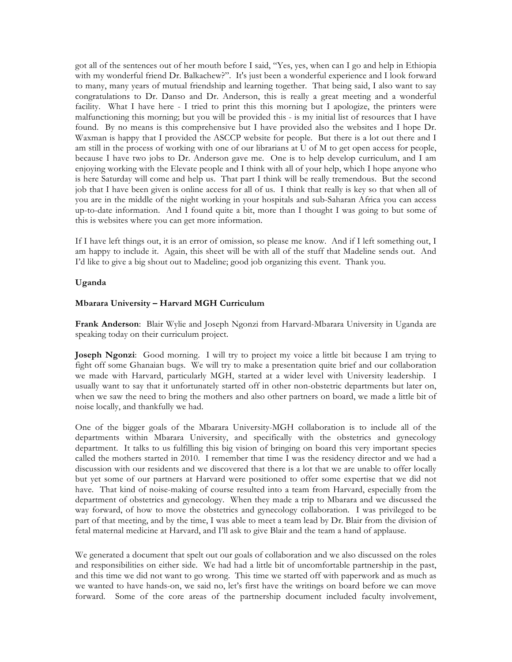got all of the sentences out of her mouth before I said, "Yes, yes, when can I go and help in Ethiopia with my wonderful friend Dr. Balkachew?". It's just been a wonderful experience and I look forward to many, many years of mutual friendship and learning together. That being said, I also want to say congratulations to Dr. Danso and Dr. Anderson, this is really a great meeting and a wonderful facility. What I have here - I tried to print this this morning but I apologize, the printers were malfunctioning this morning; but you will be provided this - is my initial list of resources that I have found. By no means is this comprehensive but I have provided also the websites and I hope Dr. Waxman is happy that I provided the ASCCP website for people. But there is a lot out there and I am still in the process of working with one of our librarians at U of M to get open access for people, because I have two jobs to Dr. Anderson gave me. One is to help develop curriculum, and I am enjoying working with the Elevate people and I think with all of your help, which I hope anyone who is here Saturday will come and help us. That part I think will be really tremendous. But the second job that I have been given is online access for all of us. I think that really is key so that when all of you are in the middle of the night working in your hospitals and sub-Saharan Africa you can access up-to-date information. And I found quite a bit, more than I thought I was going to but some of this is websites where you can get more information.

If I have left things out, it is an error of omission, so please me know. And if I left something out, I am happy to include it. Again, this sheet will be with all of the stuff that Madeline sends out. And I'd like to give a big shout out to Madeline; good job organizing this event. Thank you.

# **Uganda**

# **Mbarara University – Harvard MGH Curriculum**

**Frank Anderson**: Blair Wylie and Joseph Ngonzi from Harvard-Mbarara University in Uganda are speaking today on their curriculum project.

**Joseph Ngonzi**: Good morning. I will try to project my voice a little bit because I am trying to fight off some Ghanaian bugs. We will try to make a presentation quite brief and our collaboration we made with Harvard, particularly MGH, started at a wider level with University leadership. I usually want to say that it unfortunately started off in other non-obstetric departments but later on, when we saw the need to bring the mothers and also other partners on board, we made a little bit of noise locally, and thankfully we had.

One of the bigger goals of the Mbarara University-MGH collaboration is to include all of the departments within Mbarara University, and specifically with the obstetrics and gynecology department. It talks to us fulfilling this big vision of bringing on board this very important species called the mothers started in 2010. I remember that time I was the residency director and we had a discussion with our residents and we discovered that there is a lot that we are unable to offer locally but yet some of our partners at Harvard were positioned to offer some expertise that we did not have. That kind of noise-making of course resulted into a team from Harvard, especially from the department of obstetrics and gynecology. When they made a trip to Mbarara and we discussed the way forward, of how to move the obstetrics and gynecology collaboration. I was privileged to be part of that meeting, and by the time, I was able to meet a team lead by Dr. Blair from the division of fetal maternal medicine at Harvard, and I'll ask to give Blair and the team a hand of applause.

We generated a document that spelt out our goals of collaboration and we also discussed on the roles and responsibilities on either side. We had had a little bit of uncomfortable partnership in the past, and this time we did not want to go wrong. This time we started off with paperwork and as much as we wanted to have hands-on, we said no, let's first have the writings on board before we can move forward. Some of the core areas of the partnership document included faculty involvement,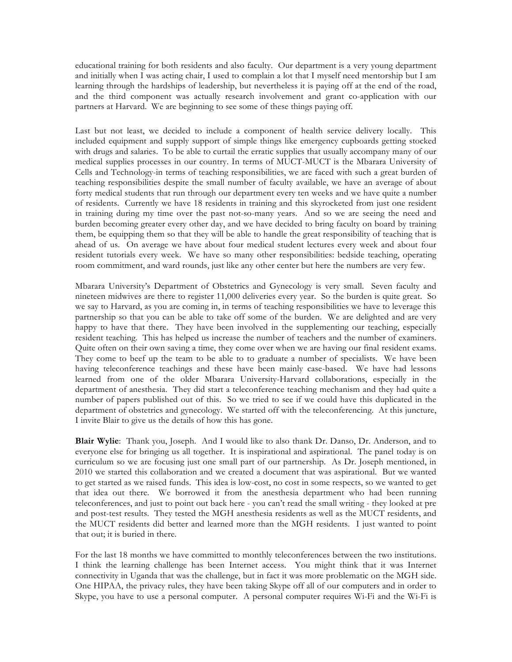educational training for both residents and also faculty. Our department is a very young department and initially when I was acting chair, I used to complain a lot that I myself need mentorship but I am learning through the hardships of leadership, but nevertheless it is paying off at the end of the road, and the third component was actually research involvement and grant co-application with our partners at Harvard. We are beginning to see some of these things paying off.

Last but not least, we decided to include a component of health service delivery locally. This included equipment and supply support of simple things like emergency cupboards getting stocked with drugs and salaries. To be able to curtail the erratic supplies that usually accompany many of our medical supplies processes in our country. In terms of MUCT-MUCT is the Mbarara University of Cells and Technology-in terms of teaching responsibilities, we are faced with such a great burden of teaching responsibilities despite the small number of faculty available, we have an average of about forty medical students that run through our department every ten weeks and we have quite a number of residents. Currently we have 18 residents in training and this skyrocketed from just one resident in training during my time over the past not-so-many years. And so we are seeing the need and burden becoming greater every other day, and we have decided to bring faculty on board by training them, be equipping them so that they will be able to handle the great responsibility of teaching that is ahead of us. On average we have about four medical student lectures every week and about four resident tutorials every week. We have so many other responsibilities: bedside teaching, operating room commitment, and ward rounds, just like any other center but here the numbers are very few.

Mbarara University's Department of Obstetrics and Gynecology is very small. Seven faculty and nineteen midwives are there to register 11,000 deliveries every year. So the burden is quite great. So we say to Harvard, as you are coming in, in terms of teaching responsibilities we have to leverage this partnership so that you can be able to take off some of the burden. We are delighted and are very happy to have that there. They have been involved in the supplementing our teaching, especially resident teaching. This has helped us increase the number of teachers and the number of examiners. Quite often on their own saving a time, they come over when we are having our final resident exams. They come to beef up the team to be able to to graduate a number of specialists. We have been having teleconference teachings and these have been mainly case-based. We have had lessons learned from one of the older Mbarara University-Harvard collaborations, especially in the department of anesthesia. They did start a teleconference teaching mechanism and they had quite a number of papers published out of this. So we tried to see if we could have this duplicated in the department of obstetrics and gynecology. We started off with the teleconferencing. At this juncture, I invite Blair to give us the details of how this has gone.

**Blair Wylie**: Thank you, Joseph. And I would like to also thank Dr. Danso, Dr. Anderson, and to everyone else for bringing us all together. It is inspirational and aspirational. The panel today is on curriculum so we are focusing just one small part of our partnership. As Dr. Joseph mentioned, in 2010 we started this collaboration and we created a document that was aspirational. But we wanted to get started as we raised funds. This idea is low-cost, no cost in some respects, so we wanted to get that idea out there. We borrowed it from the anesthesia department who had been running teleconferences, and just to point out back here - you can't read the small writing - they looked at pre and post-test results. They tested the MGH anesthesia residents as well as the MUCT residents, and the MUCT residents did better and learned more than the MGH residents. I just wanted to point that out; it is buried in there.

For the last 18 months we have committed to monthly teleconferences between the two institutions. I think the learning challenge has been Internet access. You might think that it was Internet connectivity in Uganda that was the challenge, but in fact it was more problematic on the MGH side. One HIPAA, the privacy rules, they have been taking Skype off all of our computers and in order to Skype, you have to use a personal computer. A personal computer requires Wi-Fi and the Wi-Fi is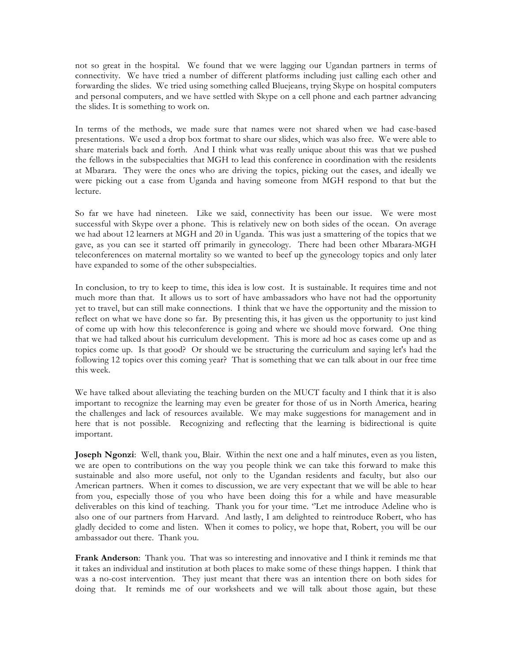not so great in the hospital. We found that we were lagging our Ugandan partners in terms of connectivity. We have tried a number of different platforms including just calling each other and forwarding the slides. We tried using something called Bluejeans, trying Skype on hospital computers and personal computers, and we have settled with Skype on a cell phone and each partner advancing the slides. It is something to work on.

In terms of the methods, we made sure that names were not shared when we had case-based presentations. We used a drop box fortmat to share our slides, which was also free. We were able to share materials back and forth. And I think what was really unique about this was that we pushed the fellows in the subspecialties that MGH to lead this conference in coordination with the residents at Mbarara. They were the ones who are driving the topics, picking out the cases, and ideally we were picking out a case from Uganda and having someone from MGH respond to that but the lecture.

So far we have had nineteen. Like we said, connectivity has been our issue. We were most successful with Skype over a phone. This is relatively new on both sides of the ocean. On average we had about 12 learners at MGH and 20 in Uganda. This was just a smattering of the topics that we gave, as you can see it started off primarily in gynecology. There had been other Mbarara-MGH teleconferences on maternal mortality so we wanted to beef up the gynecology topics and only later have expanded to some of the other subspecialties.

In conclusion, to try to keep to time, this idea is low cost. It is sustainable. It requires time and not much more than that. It allows us to sort of have ambassadors who have not had the opportunity yet to travel, but can still make connections. I think that we have the opportunity and the mission to reflect on what we have done so far. By presenting this, it has given us the opportunity to just kind of come up with how this teleconference is going and where we should move forward. One thing that we had talked about his curriculum development. This is more ad hoc as cases come up and as topics come up. Is that good? Or should we be structuring the curriculum and saying let's had the following 12 topics over this coming year? That is something that we can talk about in our free time this week.

We have talked about alleviating the teaching burden on the MUCT faculty and I think that it is also important to recognize the learning may even be greater for those of us in North America, hearing the challenges and lack of resources available. We may make suggestions for management and in here that is not possible. Recognizing and reflecting that the learning is bidirectional is quite important.

**Joseph Ngonzi**: Well, thank you, Blair. Within the next one and a half minutes, even as you listen, we are open to contributions on the way you people think we can take this forward to make this sustainable and also more useful, not only to the Ugandan residents and faculty, but also our American partners. When it comes to discussion, we are very expectant that we will be able to hear from you, especially those of you who have been doing this for a while and have measurable deliverables on this kind of teaching. Thank you for your time. ''Let me introduce Adeline who is also one of our partners from Harvard. And lastly, I am delighted to reintroduce Robert, who has gladly decided to come and listen. When it comes to policy, we hope that, Robert, you will be our ambassador out there. Thank you.

**Frank Anderson**: Thank you. That was so interesting and innovative and I think it reminds me that it takes an individual and institution at both places to make some of these things happen. I think that was a no-cost intervention. They just meant that there was an intention there on both sides for doing that. It reminds me of our worksheets and we will talk about those again, but these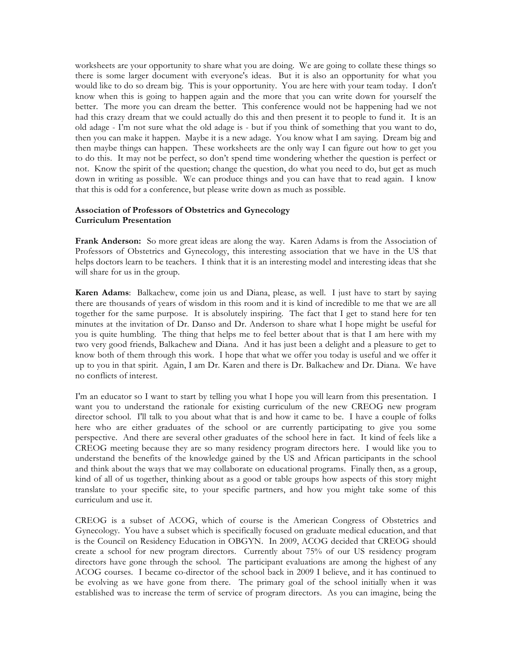worksheets are your opportunity to share what you are doing. We are going to collate these things so there is some larger document with everyone's ideas. But it is also an opportunity for what you would like to do so dream big. This is your opportunity. You are here with your team today. I don't know when this is going to happen again and the more that you can write down for yourself the better. The more you can dream the better. This conference would not be happening had we not had this crazy dream that we could actually do this and then present it to people to fund it. It is an old adage - I'm not sure what the old adage is - but if you think of something that you want to do, then you can make it happen. Maybe it is a new adage. You know what I am saying. Dream big and then maybe things can happen. These worksheets are the only way I can figure out how to get you to do this. It may not be perfect, so don't spend time wondering whether the question is perfect or not. Know the spirit of the question; change the question, do what you need to do, but get as much down in writing as possible. We can produce things and you can have that to read again. I know that this is odd for a conference, but please write down as much as possible.

### **Association of Professors of Obstetrics and Gynecology Curriculum Presentation**

**Frank Anderson:** So more great ideas are along the way. Karen Adams is from the Association of Professors of Obstetrics and Gynecology, this interesting association that we have in the US that helps doctors learn to be teachers. I think that it is an interesting model and interesting ideas that she will share for us in the group.

**Karen Adams**: Balkachew, come join us and Diana, please, as well. I just have to start by saying there are thousands of years of wisdom in this room and it is kind of incredible to me that we are all together for the same purpose. It is absolutely inspiring. The fact that I get to stand here for ten minutes at the invitation of Dr. Danso and Dr. Anderson to share what I hope might be useful for you is quite humbling. The thing that helps me to feel better about that is that I am here with my two very good friends, Balkachew and Diana. And it has just been a delight and a pleasure to get to know both of them through this work. I hope that what we offer you today is useful and we offer it up to you in that spirit. Again, I am Dr. Karen and there is Dr. Balkachew and Dr. Diana. We have no conflicts of interest.

I'm an educator so I want to start by telling you what I hope you will learn from this presentation. I want you to understand the rationale for existing curriculum of the new CREOG new program director school. I'll talk to you about what that is and how it came to be. I have a couple of folks here who are either graduates of the school or are currently participating to give you some perspective. And there are several other graduates of the school here in fact. It kind of feels like a CREOG meeting because they are so many residency program directors here. I would like you to understand the benefits of the knowledge gained by the US and African participants in the school and think about the ways that we may collaborate on educational programs. Finally then, as a group, kind of all of us together, thinking about as a good or table groups how aspects of this story might translate to your specific site, to your specific partners, and how you might take some of this curriculum and use it.

CREOG is a subset of ACOG, which of course is the American Congress of Obstetrics and Gynecology. You have a subset which is specifically focused on graduate medical education, and that is the Council on Residency Education in OBGYN. In 2009, ACOG decided that CREOG should create a school for new program directors. Currently about 75% of our US residency program directors have gone through the school. The participant evaluations are among the highest of any ACOG courses. I became co-director of the school back in 2009 I believe, and it has continued to be evolving as we have gone from there. The primary goal of the school initially when it was established was to increase the term of service of program directors. As you can imagine, being the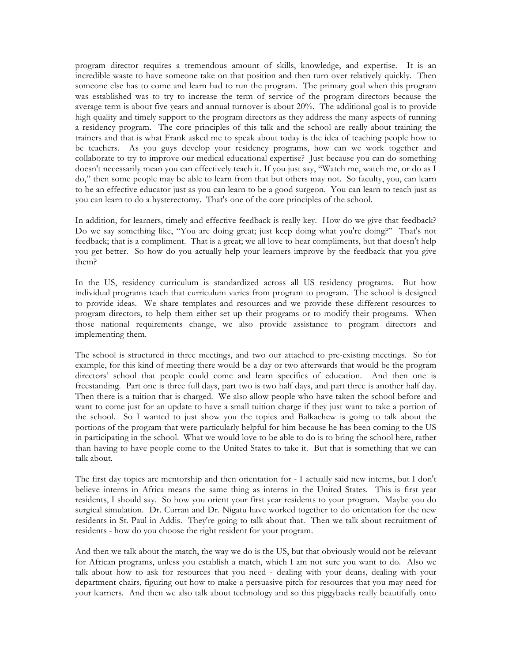program director requires a tremendous amount of skills, knowledge, and expertise. It is an incredible waste to have someone take on that position and then turn over relatively quickly. Then someone else has to come and learn had to run the program. The primary goal when this program was established was to try to increase the term of service of the program directors because the average term is about five years and annual turnover is about 20%. The additional goal is to provide high quality and timely support to the program directors as they address the many aspects of running a residency program. The core principles of this talk and the school are really about training the trainers and that is what Frank asked me to speak about today is the idea of teaching people how to be teachers. As you guys develop your residency programs, how can we work together and collaborate to try to improve our medical educational expertise? Just because you can do something doesn't necessarily mean you can effectively teach it. If you just say, "Watch me, watch me, or do as I do," then some people may be able to learn from that but others may not. So faculty, you, can learn to be an effective educator just as you can learn to be a good surgeon. You can learn to teach just as you can learn to do a hysterectomy. That's one of the core principles of the school.

In addition, for learners, timely and effective feedback is really key. How do we give that feedback? Do we say something like, "You are doing great; just keep doing what you're doing?" That's not feedback; that is a compliment. That is a great; we all love to hear compliments, but that doesn't help you get better. So how do you actually help your learners improve by the feedback that you give them?

In the US, residency curriculum is standardized across all US residency programs. But how individual programs teach that curriculum varies from program to program. The school is designed to provide ideas. We share templates and resources and we provide these different resources to program directors, to help them either set up their programs or to modify their programs. When those national requirements change, we also provide assistance to program directors and implementing them.

The school is structured in three meetings, and two our attached to pre-existing meetings. So for example, for this kind of meeting there would be a day or two afterwards that would be the program directors' school that people could come and learn specifics of education. And then one is freestanding. Part one is three full days, part two is two half days, and part three is another half day. Then there is a tuition that is charged. We also allow people who have taken the school before and want to come just for an update to have a small tuition charge if they just want to take a portion of the school. So I wanted to just show you the topics and Balkachew is going to talk about the portions of the program that were particularly helpful for him because he has been coming to the US in participating in the school. What we would love to be able to do is to bring the school here, rather than having to have people come to the United States to take it. But that is something that we can talk about.

The first day topics are mentorship and then orientation for - I actually said new interns, but I don't believe interns in Africa means the same thing as interns in the United States. This is first year residents, I should say. So how you orient your first year residents to your program. Maybe you do surgical simulation. Dr. Curran and Dr. Nigatu have worked together to do orientation for the new residents in St. Paul in Addis. They're going to talk about that. Then we talk about recruitment of residents - how do you choose the right resident for your program.

And then we talk about the match, the way we do is the US, but that obviously would not be relevant for African programs, unless you establish a match, which I am not sure you want to do. Also we talk about how to ask for resources that you need - dealing with your deans, dealing with your department chairs, figuring out how to make a persuasive pitch for resources that you may need for your learners. And then we also talk about technology and so this piggybacks really beautifully onto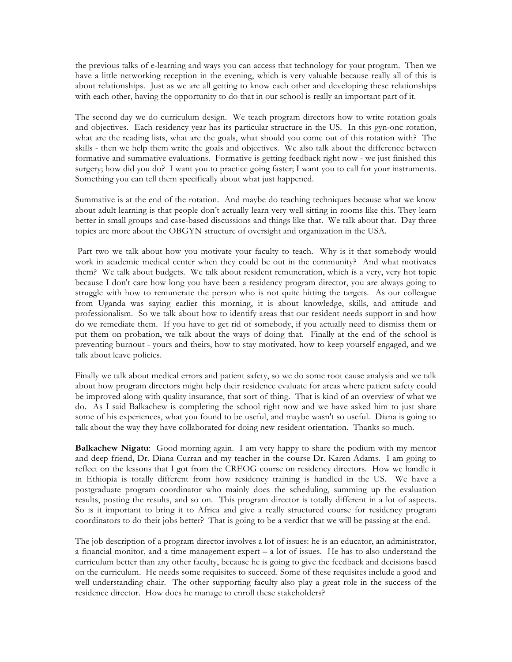the previous talks of e-learning and ways you can access that technology for your program. Then we have a little networking reception in the evening, which is very valuable because really all of this is about relationships. Just as we are all getting to know each other and developing these relationships with each other, having the opportunity to do that in our school is really an important part of it.

The second day we do curriculum design. We teach program directors how to write rotation goals and objectives. Each residency year has its particular structure in the US. In this gyn-onc rotation, what are the reading lists, what are the goals, what should you come out of this rotation with? The skills - then we help them write the goals and objectives. We also talk about the difference between formative and summative evaluations. Formative is getting feedback right now - we just finished this surgery; how did you do? I want you to practice going faster; I want you to call for your instruments. Something you can tell them specifically about what just happened.

Summative is at the end of the rotation. And maybe do teaching techniques because what we know about adult learning is that people don't actually learn very well sitting in rooms like this. They learn better in small groups and case-based discussions and things like that. We talk about that. Day three topics are more about the OBGYN structure of oversight and organization in the USA.

Part two we talk about how you motivate your faculty to teach. Why is it that somebody would work in academic medical center when they could be out in the community? And what motivates them? We talk about budgets. We talk about resident remuneration, which is a very, very hot topic because I don't care how long you have been a residency program director, you are always going to struggle with how to remunerate the person who is not quite hitting the targets. As our colleague from Uganda was saying earlier this morning, it is about knowledge, skills, and attitude and professionalism. So we talk about how to identify areas that our resident needs support in and how do we remediate them. If you have to get rid of somebody, if you actually need to dismiss them or put them on probation, we talk about the ways of doing that. Finally at the end of the school is preventing burnout - yours and theirs, how to stay motivated, how to keep yourself engaged, and we talk about leave policies.

Finally we talk about medical errors and patient safety, so we do some root cause analysis and we talk about how program directors might help their residence evaluate for areas where patient safety could be improved along with quality insurance, that sort of thing. That is kind of an overview of what we do. As I said Balkachew is completing the school right now and we have asked him to just share some of his experiences, what you found to be useful, and maybe wasn't so useful. Diana is going to talk about the way they have collaborated for doing new resident orientation. Thanks so much.

**Balkachew Nigatu**: Good morning again. I am very happy to share the podium with my mentor and deep friend, Dr. Diana Curran and my teacher in the course Dr. Karen Adams. I am going to reflect on the lessons that I got from the CREOG course on residency directors. How we handle it in Ethiopia is totally different from how residency training is handled in the US. We have a postgraduate program coordinator who mainly does the scheduling, summing up the evaluation results, posting the results, and so on. This program director is totally different in a lot of aspects. So is it important to bring it to Africa and give a really structured course for residency program coordinators to do their jobs better? That is going to be a verdict that we will be passing at the end.

The job description of a program director involves a lot of issues: he is an educator, an administrator, a financial monitor, and a time management expert – a lot of issues. He has to also understand the curriculum better than any other faculty, because he is going to give the feedback and decisions based on the curriculum. He needs some requisites to succeed. Some of these requisites include a good and well understanding chair. The other supporting faculty also play a great role in the success of the residence director. How does he manage to enroll these stakeholders?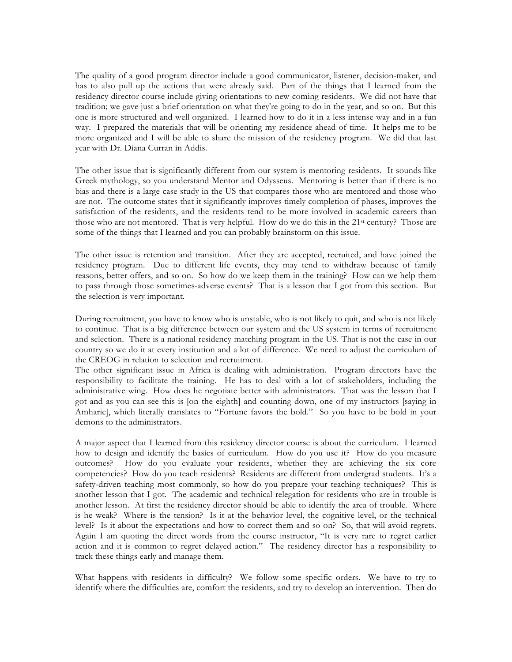The quality of a good program director include a good communicator, listener, decision-maker, and has to also pull up the actions that were already said. Part of the things that I learned from the residency director course include giving orientations to new coming residents. We did not have that tradition; we gave just a brief orientation on what they're going to do in the year, and so on. But this one is more structured and well organized. I learned how to do it in a less intense way and in a fun way. I prepared the materials that will be orienting my residence ahead of time. It helps me to be more organized and I will be able to share the mission of the residency program. We did that last year with Dr. Diana Curran in Addis.

The other issue that is significantly different from our system is mentoring residents. It sounds like Greek mythology, so you understand Mentor and Odysseus. Mentoring is better than if there is no bias and there is a large case study in the US that compares those who are mentored and those who are not. The outcome states that it significantly improves timely completion of phases, improves the satisfaction of the residents, and the residents tend to be more involved in academic careers than those who are not mentored. That is very helpful. How do we do this in the 21st century? Those are some of the things that I learned and you can probably brainstorm on this issue.

The other issue is retention and transition. After they are accepted, recruited, and have joined the residency program. Due to different life events, they may tend to withdraw because of family reasons, better offers, and so on. So how do we keep them in the training? How can we help them to pass through those sometimes-adverse events? That is a lesson that I got from this section. But the selection is very important.

During recruitment, you have to know who is unstable, who is not likely to quit, and who is not likely to continue. That is a big difference between our system and the US system in terms of recruitment and selection. There is a national residency matching program in the US. That is not the case in our country so we do it at every institution and a lot of difference. We need to adjust the curriculum of the CREOG in relation to selection and recruitment.

The other significant issue in Africa is dealing with administration. Program directors have the responsibility to facilitate the training. He has to deal with a lot of stakeholders, including the administrative wing. How does he negotiate better with administrators. That was the lesson that I got and as you can see this is [on the eighth] and counting down, one of my instructors [saying in Amharic], which literally translates to "Fortune favors the bold." So you have to be bold in your demons to the administrators.

A major aspect that I learned from this residency director course is about the curriculum. I learned how to design and identify the basics of curriculum. How do you use it? How do you measure outcomes? How do you evaluate your residents, whether they are achieving the six core competencies? How do you teach residents? Residents are different from undergrad students. It's a safety-driven teaching most commonly, so how do you prepare your teaching techniques? This is another lesson that I got. The academic and technical relegation for residents who are in trouble is another lesson. At first the residency director should be able to identify the area of trouble. Where is he weak? Where is the tension? Is it at the behavior level, the cognitive level, or the technical level? Is it about the expectations and how to correct them and so on? So, that will avoid regrets. Again I am quoting the direct words from the course instructor, "It is very rare to regret earlier action and it is common to regret delayed action." The residency director has a responsibility to track these things early and manage them.

What happens with residents in difficulty? We follow some specific orders. We have to try to identify where the difficulties are, comfort the residents, and try to develop an intervention. Then do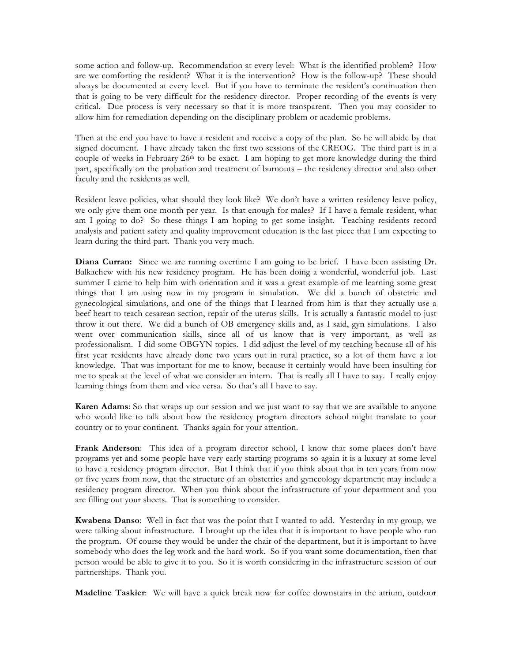some action and follow-up. Recommendation at every level: What is the identified problem? How are we comforting the resident? What it is the intervention? How is the follow-up? These should always be documented at every level. But if you have to terminate the resident's continuation then that is going to be very difficult for the residency director. Proper recording of the events is very critical. Due process is very necessary so that it is more transparent. Then you may consider to allow him for remediation depending on the disciplinary problem or academic problems.

Then at the end you have to have a resident and receive a copy of the plan. So he will abide by that signed document. I have already taken the first two sessions of the CREOG. The third part is in a couple of weeks in February 26<sup>th</sup> to be exact. I am hoping to get more knowledge during the third part, specifically on the probation and treatment of burnouts – the residency director and also other faculty and the residents as well.

Resident leave policies, what should they look like? We don't have a written residency leave policy, we only give them one month per year. Is that enough for males? If I have a female resident, what am I going to do? So these things I am hoping to get some insight. Teaching residents record analysis and patient safety and quality improvement education is the last piece that I am expecting to learn during the third part. Thank you very much.

**Diana Curran:** Since we are running overtime I am going to be brief. I have been assisting Dr. Balkachew with his new residency program. He has been doing a wonderful, wonderful job. Last summer I came to help him with orientation and it was a great example of me learning some great things that I am using now in my program in simulation. We did a bunch of obstetric and gynecological simulations, and one of the things that I learned from him is that they actually use a beef heart to teach cesarean section, repair of the uterus skills. It is actually a fantastic model to just throw it out there. We did a bunch of OB emergency skills and, as I said, gyn simulations. I also went over communication skills, since all of us know that is very important, as well as professionalism. I did some OBGYN topics. I did adjust the level of my teaching because all of his first year residents have already done two years out in rural practice, so a lot of them have a lot knowledge. That was important for me to know, because it certainly would have been insulting for me to speak at the level of what we consider an intern. That is really all I have to say. I really enjoy learning things from them and vice versa. So that's all I have to say.

**Karen Adams**: So that wraps up our session and we just want to say that we are available to anyone who would like to talk about how the residency program directors school might translate to your country or to your continent. Thanks again for your attention.

**Frank Anderson**: This idea of a program director school, I know that some places don't have programs yet and some people have very early starting programs so again it is a luxury at some level to have a residency program director. But I think that if you think about that in ten years from now or five years from now, that the structure of an obstetrics and gynecology department may include a residency program director. When you think about the infrastructure of your department and you are filling out your sheets. That is something to consider.

**Kwabena Danso**: Well in fact that was the point that I wanted to add. Yesterday in my group, we were talking about infrastructure. I brought up the idea that it is important to have people who run the program. Of course they would be under the chair of the department, but it is important to have somebody who does the leg work and the hard work. So if you want some documentation, then that person would be able to give it to you. So it is worth considering in the infrastructure session of our partnerships. Thank you.

**Madeline Taskier**: We will have a quick break now for coffee downstairs in the atrium, outdoor